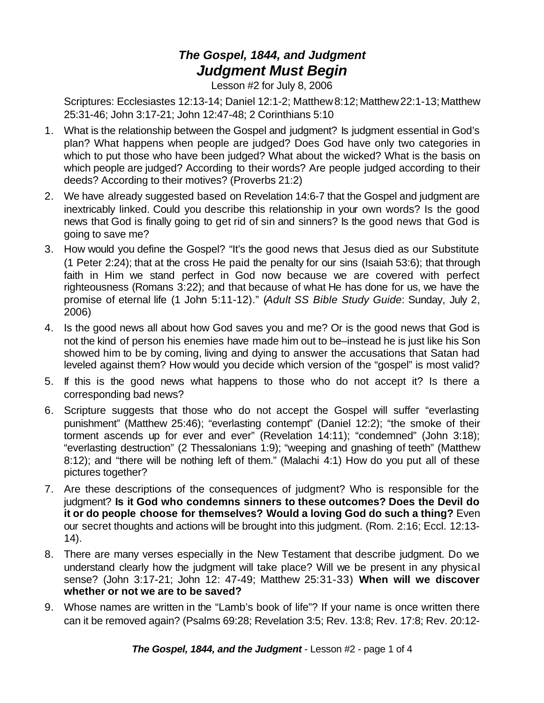## *The Gospel, 1844, and Judgment Judgment Must Begin*

Lesson #2 for July 8, 2006

Scriptures: Ecclesiastes 12:13-14; Daniel 12:1-2; Matthew 8:12; Matthew 22:1-13; Matthew 25:31-46; John 3:17-21; John 12:47-48; 2 Corinthians 5:10

- 1. What is the relationship between the Gospel and judgment? Is judgment essential in God's plan? What happens when people are judged? Does God have only two categories in which to put those who have been judged? What about the wicked? What is the basis on which people are judged? According to their words? Are people judged according to their deeds? According to their motives? (Proverbs 21:2)
- 2. We have already suggested based on Revelation 14:6-7 that the Gospel and judgment are inextricably linked. Could you describe this relationship in your own words? Is the good news that God is finally going to get rid of sin and sinners? Is the good news that God is going to save me?
- 3. How would you define the Gospel? "It's the good news that Jesus died as our Substitute (1 Peter 2:24); that at the cross He paid the penalty for our sins (Isaiah 53:6); that through faith in Him we stand perfect in God now because we are covered with perfect righteousness (Romans 3:22); and that because of what He has done for us, we have the promise of eternal life (1 John 5:11-12)." (*Adult SS Bible Study Guide*: Sunday, July 2, 2006)
- 4. Is the good news all about how God saves you and me? Or is the good news that God is not the kind of person his enemies have made him out to be–instead he is just like his Son showed him to be by coming, living and dying to answer the accusations that Satan had leveled against them? How would you decide which version of the "gospel" is most valid?
- 5. If this is the good news what happens to those who do not accept it? Is there a corresponding bad news?
- 6. Scripture suggests that those who do not accept the Gospel will suffer "everlasting punishment" (Matthew 25:46); "everlasting contempt" (Daniel 12:2); "the smoke of their torment ascends up for ever and ever" (Revelation 14:11); "condemned" (John 3:18); "everlasting destruction" (2 Thessalonians 1:9); "weeping and gnashing of teeth" (Matthew 8:12); and "there will be nothing left of them." (Malachi 4:1) How do you put all of these pictures together?
- 7. Are these descriptions of the consequences of judgment? Who is responsible for the judgment? **Is it God who condemns sinners to these outcomes? Does the Devil do it or do people choose for themselves? Would a loving God do such a thing?** Even our secret thoughts and actions will be brought into this judgment. (Rom. 2:16; Eccl. 12:13- 14).
- 8. There are many verses especially in the New Testament that describe judgment. Do we understand clearly how the judgment will take place? Will we be present in any physical sense? (John 3:17-21; John 12: 47-49; Matthew 25:31-33) **When will we discover whether or not we are to be saved?**
- 9. Whose names are written in the "Lamb's book of life"? If your name is once written there can it be removed again? (Psalms 69:28; Revelation 3:5; Rev. 13:8; Rev. 17:8; Rev. 20:12-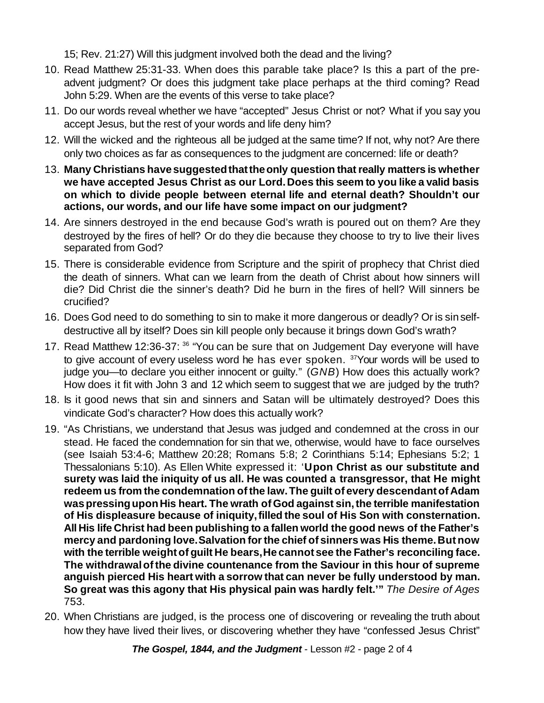15; Rev. 21:27) Will this judgment involved both the dead and the living?

- 10. Read Matthew 25:31-33. When does this parable take place? Is this a part of the preadvent judgment? Or does this judgment take place perhaps at the third coming? Read John 5:29. When are the events of this verse to take place?
- 11. Do our words reveal whether we have "accepted" Jesus Christ or not? What if you say you accept Jesus, but the rest of your words and life deny him?
- 12. Will the wicked and the righteous all be judged at the same time? If not, why not? Are there only two choices as far as consequences to the judgment are concerned: life or death?
- 13. **Many Christians havesuggestedthattheonly question thatreally matters is whether we have accepted Jesus Christ as our Lord.Does this seem to you like a valid basis on which to divide people between eternal life and eternal death? Shouldn't our actions, our words, and our life have some impact on our judgment?**
- 14. Are sinners destroyed in the end because God's wrath is poured out on them? Are they destroyed by the fires of hell? Or do they die because they choose to try to live their lives separated from God?
- 15. There is considerable evidence from Scripture and the spirit of prophecy that Christ died the death of sinners. What can we learn from the death of Christ about how sinners will die? Did Christ die the sinner's death? Did he burn in the fires of hell? Will sinners be crucified?
- 16. Does God need to do something to sin to make it more dangerous or deadly? Or is sinselfdestructive all by itself? Does sin kill people only because it brings down God's wrath?
- 17. Read Matthew 12:36-37: <sup>36</sup> "You can be sure that on Judgement Day everyone will have to give account of every useless word he has ever spoken. <sup>37</sup>Your words will be used to judge you—to declare you either innocent or guilty." (*GNB*) How does this actually work? How does it fit with John 3 and 12 which seem to suggest that we are judged by the truth?
- 18. Is it good news that sin and sinners and Satan will be ultimately destroyed? Does this vindicate God's character? How does this actually work?
- 19. "As Christians, we understand that Jesus was judged and condemned at the cross in our stead. He faced the condemnation for sin that we, otherwise, would have to face ourselves (see Isaiah 53:4-6; Matthew 20:28; Romans 5:8; 2 Corinthians 5:14; Ephesians 5:2; 1 Thessalonians 5:10). As Ellen White expressed it: '**Upon Christ as our substitute and surety was laid the iniquity of us all. He was counted a transgressor, that He might redeem** us from the condemnation of the law. The guilt of every descendant of Adam **waspressinguponHis heart. The wrath ofGod against sin,the terrible manifestation of His displeasure because of iniquity,filled the soul of His Son with consternation. All His life Christ had been publishing to a fallen world the good news of the Father's mercy and pardoning love.Salvation forthe chief of sinners was His theme.But now with the terrible weightof guilt He bears,He cannot see the Father's reconciling face. The withdrawalofthe divine countenance from the Saviour in this hour of supreme anguish pierced His heart with a sorrow that can never be fully understood by man. So great was this agony that His physical pain was hardly felt.'"** *The Desire of Ages* 753.
- 20. When Christians are judged, is the process one of discovering or revealing the truth about how they have lived their lives, or discovering whether they have "confessed Jesus Christ"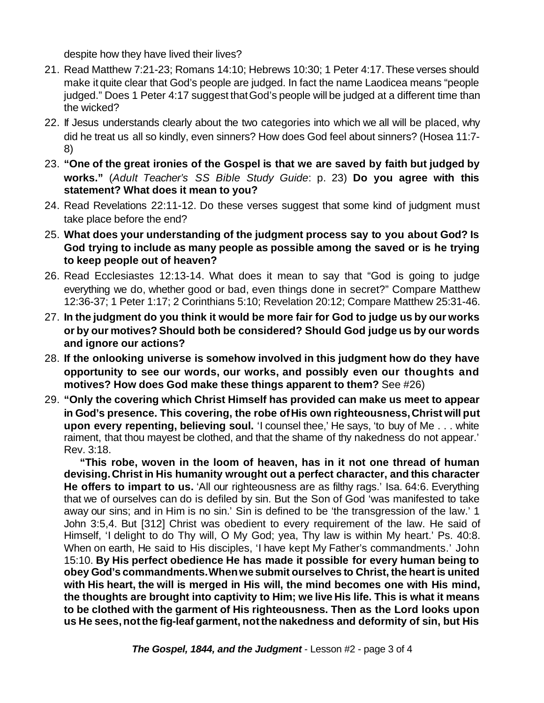despite how they have lived their lives?

- 21. Read Matthew 7:21-23; Romans 14:10; Hebrews 10:30; 1 Peter 4:17.These verses should make itquite clear that God's people are judged. In fact the name Laodicea means "people judged." Does 1 Peter 4:17 suggest thatGod's people will be judged at a different time than the wicked?
- 22. If Jesus understands clearly about the two categories into which we all will be placed, why did he treat us all so kindly, even sinners? How does God feel about sinners? (Hosea 11:7- 8)
- 23. **"One of the great ironies of the Gospel is that we are saved by faith but judged by works."** (*Adult Teacher's SS Bible Study Guide*: p. 23) **Do you agree with this statement? What does it mean to you?**
- 24. Read Revelations 22:11-12. Do these verses suggest that some kind of judgment must take place before the end?
- 25. **What does your understanding of the judgment process say to you about God? Is God trying to include as many people as possible among the saved or is he trying to keep people out of heaven?**
- 26. Read Ecclesiastes 12:13-14. What does it mean to say that "God is going to judge everything we do, whether good or bad, even things done in secret?" Compare Matthew 12:36-37; 1 Peter 1:17; 2 Corinthians 5:10; Revelation 20:12; Compare Matthew 25:31-46.
- 27. **In the judgment do you think it would be more fair for God to judge us by our works or by our motives? Should both be considered? Should God judge us by our words and ignore our actions?**
- 28. **If the onlooking universe is somehow involved in this judgment how do they have opportunity to see our words, our works, and possibly even our thoughts and motives? How does God make these things apparent to them?** See #26)
- 29. **"Only the covering which Christ Himself has provided can make us meet to appear in God's presence. This covering, the robe ofHis own righteousness,Christ will put upon every repenting, believing soul.** 'I counsel thee,' He says, 'to buy of Me . . . white raiment, that thou mayest be clothed, and that the shame of thy nakedness do not appear.' Rev. 3:18.

**"This robe, woven in the loom of heaven, has in it not one thread of human devising.Christ in His humanity wrought out a perfect character, and this character He offers to impart to us.** 'All our righteousness are as filthy rags.' Isa. 64:6. Everything that we of ourselves can do is defiled by sin. But the Son of God 'was manifested to take away our sins; and in Him is no sin.' Sin is defined to be 'the transgression of the law.' 1 John 3:5,4. But [312] Christ was obedient to every requirement of the law. He said of Himself, 'I delight to do Thy will, O My God; yea, Thy law is within My heart.' Ps. 40:8. When on earth, He said to His disciples, 'I have kept My Father's commandments.' John 15:10. **By His perfect obedience He has made it possible for every human being to obey God's commandments.Whenwe submit ourselves to Christ, the heart is united with His heart, the will is merged in His will, the mind becomes one with His mind, the thoughts are brought into captivity to Him; we live His life. This is what it means to be clothed with the garment of His righteousness. Then as the Lord looks upon us He sees,notthe fig-leaf garment, notthe nakedness and deformity of sin, but His**